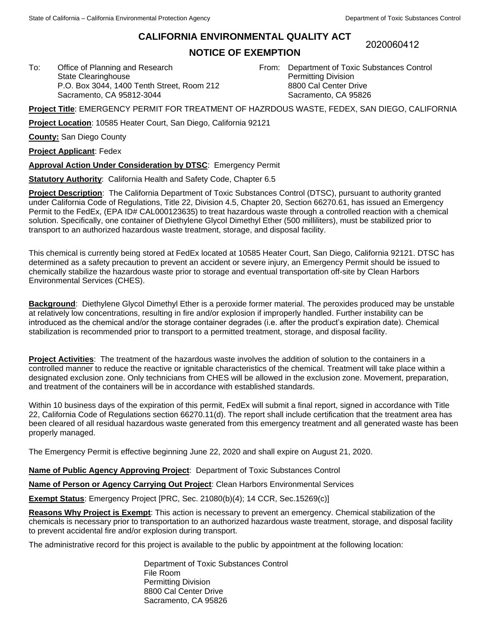To: Office of Planning and Research State Clearinghouse

Sacramento, CA 95812-3044

## **CALIFORNIA ENVIRONMENTAL QUALITY ACT**

## **NOTICE OF EXEMPTION**

2020060412

From: Department of Toxic Substances Control Permitting Division 8800 Cal Center Drive Sacramento, CA 95826

**Project Title**: EMERGENCY PERMIT FOR TREATMENT OF HAZRDOUS WASTE, FEDEX, SAN DIEGO, CALIFORNIA

**Project Location**: 10585 Heater Court, San Diego, California 92121

P.O. Box 3044, 1400 Tenth Street, Room 212

**County:** San Diego County

**Project Applicant**: Fedex

**Approval Action Under Consideration by DTSC**: Emergency Permit

**Statutory Authority**: California Health and Safety Code, Chapter 6.5

**Project Description**: The California Department of Toxic Substances Control (DTSC), pursuant to authority granted under California Code of Regulations, Title 22, Division 4.5, Chapter 20, Section 66270.61, has issued an Emergency Permit to the FedEx, (EPA ID# CAL000123635) to treat hazardous waste through a controlled reaction with a chemical solution. Specifically, one container of Diethylene Glycol Dimethyl Ether (500 milliliters), must be stabilized prior to transport to an authorized hazardous waste treatment, storage, and disposal facility.

This chemical is currently being stored at FedEx located at 10585 Heater Court, San Diego, California 92121. DTSC has determined as a safety precaution to prevent an accident or severe injury, an Emergency Permit should be issued to chemically stabilize the hazardous waste prior to storage and eventual transportation off-site by Clean Harbors Environmental Services (CHES).

**Background**: Diethylene Glycol Dimethyl Ether is a peroxide former material. The peroxides produced may be unstable at relatively low concentrations, resulting in fire and/or explosion if improperly handled. Further instability can be introduced as the chemical and/or the storage container degrades (i.e. after the product's expiration date). Chemical stabilization is recommended prior to transport to a permitted treatment, storage, and disposal facility.

**Project Activities**: The treatment of the hazardous waste involves the addition of solution to the containers in a controlled manner to reduce the reactive or ignitable characteristics of the chemical. Treatment will take place within a designated exclusion zone. Only technicians from CHES will be allowed in the exclusion zone. Movement, preparation, and treatment of the containers will be in accordance with established standards.

Within 10 business days of the expiration of this permit, FedEx will submit a final report, signed in accordance with Title 22, California Code of Regulations section 66270.11(d). The report shall include certification that the treatment area has been cleared of all residual hazardous waste generated from this emergency treatment and all generated waste has been properly managed.

The Emergency Permit is effective beginning June 22, 2020 and shall expire on August 21, 2020.

**Name of Public Agency Approving Project**: Department of Toxic Substances Control

**Name of Person or Agency Carrying Out Project**: Clean Harbors Environmental Services

**Exempt Status**: Emergency Project [PRC, Sec. 21080(b)(4); 14 CCR, Sec.15269(c)]

**Reasons Why Project is Exempt**: This action is necessary to prevent an emergency. Chemical stabilization of the chemicals is necessary prior to transportation to an authorized hazardous waste treatment, storage, and disposal facility to prevent accidental fire and/or explosion during transport.

The administrative record for this project is available to the public by appointment at the following location:

Department of Toxic Substances Control File Room Permitting Division 8800 Cal Center Drive Sacramento, CA 95826